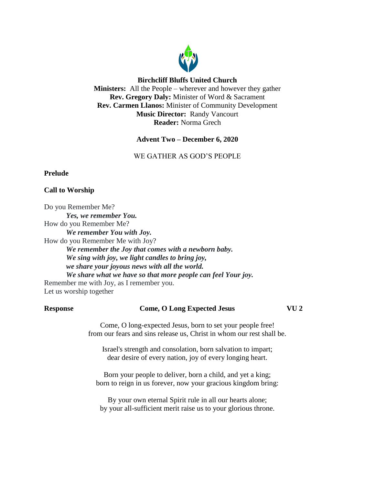

## **Birchcliff Bluffs United Church**

**Ministers:** All the People – wherever and however they gather **Rev. Gregory Daly:** Minister of Word & Sacrament **Rev. Carmen Llanos:** Minister of Community Development **Music Director:** Randy Vancourt **Reader:** Norma Grech

**Advent Two – December 6, 2020**

WE GATHER AS GOD'S PEOPLE

## **Prelude**

## **Call to Worship**

Do you Remember Me? *Yes, we remember You.* How do you Remember Me? *We remember You with Joy.* How do you Remember Me with Joy? *We remember the Joy that comes with a newborn baby. We sing with joy, we light candles to bring joy, we share your joyous news with all the world. We share what we have so that more people can feel Your joy.* Remember me with Joy, as I remember you. Let us worship together

#### **Response Come, O Long Expected Jesus VU 2**

Come, O long-expected Jesus, born to set your people free! from our fears and sins release us, Christ in whom our rest shall be.

Israel's strength and consolation, born salvation to impart; dear desire of every nation, joy of every longing heart.

Born your people to deliver, born a child, and yet a king; born to reign in us forever, now your gracious kingdom bring:

By your own eternal Spirit rule in all our hearts alone; by your all-sufficient merit raise us to your glorious throne.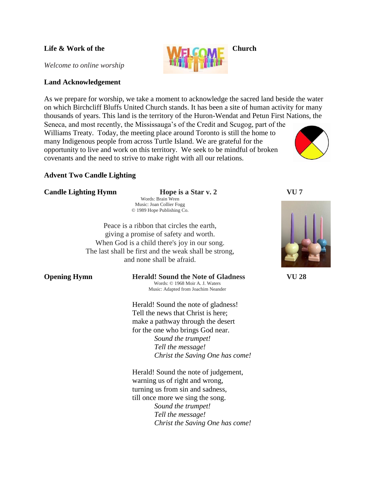*Welcome to online worship*

### **Land Acknowledgement**

As we prepare for worship, we take a moment to acknowledge the sacred land beside the water on which Birchcliff Bluffs United Church stands. It has been a site of human activity for many thousands of years. This land is the territory of the Huron-Wendat and Petun First Nations, the Seneca, and most recently, the Mississauga's of the Credit and Scugog, part of the

Williams Treaty. Today, the meeting place around Toronto is still the home to many Indigenous people from across Turtle Island. We are grateful for the opportunity to live and work on this territory. We seek to be mindful of broken covenants and the need to strive to make right with all our relations.

## **Advent Two Candle Lighting**

#### **Candle Lighting Hymn Hope is a Star v. 2 VU 7**

Words: Brain Wren Music: Joan Collier Fogg © 1989 Hope Publishing Co.

Peace is a ribbon that circles the earth, giving a promise of safety and worth. When God is a child there's joy in our song. The last shall be first and the weak shall be strong, and none shall be afraid.

# **Opening Hymn Herald! Sound the Note of Gladness VU 28**

Words: © 1968 Moir A. J. Waters Music: Adapted from Joachim Neander

Herald! Sound the note of gladness! Tell the news that Christ is here; make a pathway through the desert for the one who brings God near. *Sound the trumpet! Tell the message! Christ the Saving One has come!*

Herald! Sound the note of judgement, warning us of right and wrong, turning us from sin and sadness, till once more we sing the song. *Sound the trumpet! Tell the message! Christ the Saving One has come!*



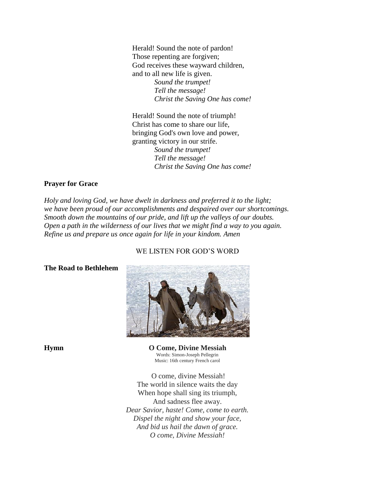Herald! Sound the note of pardon! Those repenting are forgiven; God receives these wayward children, and to all new life is given. *Sound the trumpet! Tell the message! Christ the Saving One has come!*

Herald! Sound the note of triumph! Christ has come to share our life, bringing God's own love and power, granting victory in our strife. *Sound the trumpet! Tell the message! Christ the Saving One has come!*

## **Prayer for Grace**

**The Road to Bethlehem**

*Holy and loving God, we have dwelt in darkness and preferred it to the light; we have been proud of our accomplishments and despaired over our shortcomings. Smooth down the mountains of our pride, and lift up the valleys of our doubts. Open a path in the wilderness of our lives that we might find a way to you again. Refine us and prepare us once again for life in your kindom. Amen*

# WE LISTEN FOR GOD'S WORD

**Hymn O Come, Divine Messiah** Words: Simon-Joseph Pellegrin Music: 16th century French carol

> O come, divine Messiah! The world in silence waits the day When hope shall sing its triumph, And sadness flee away. *Dear Savior, haste! Come, come to earth. Dispel the night and show your face, And bid us hail the dawn of grace. O come, Divine Messiah!*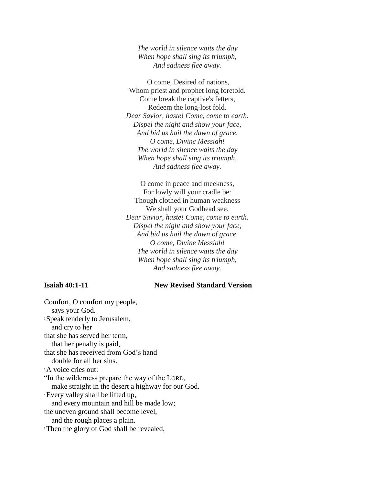*The world in silence waits the day When hope shall sing its triumph, And sadness flee away.*

O come, Desired of nations, Whom priest and prophet long foretold. Come break the captive's fetters, Redeem the long-lost fold. *Dear Savior, haste! Come, come to earth. Dispel the night and show your face, And bid us hail the dawn of grace. O come, Divine Messiah! The world in silence waits the day When hope shall sing its triumph, And sadness flee away.*

O come in peace and meekness, For lowly will your cradle be: Though clothed in human weakness We shall your Godhead see. *Dear Savior, haste! Come, come to earth. Dispel the night and show your face, And bid us hail the dawn of grace. O come, Divine Messiah! The world in silence waits the day When hope shall sing its triumph, And sadness flee away.*

#### **Isaiah 40:1-11 New Revised Standard Version**

Comfort, O comfort my people, says your God. **<sup>2</sup>**Speak tenderly to Jerusalem, and cry to her that she has served her term, that her penalty is paid, that she has received from God's hand double for all her sins. **<sup>3</sup>**A voice cries out: "In the wilderness prepare the way of the LORD, make straight in the desert a highway for our God. **<sup>4</sup>**Every valley shall be lifted up, and every mountain and hill be made low; the uneven ground shall become level, and the rough places a plain. **<sup>5</sup>**Then the glory of God shall be revealed,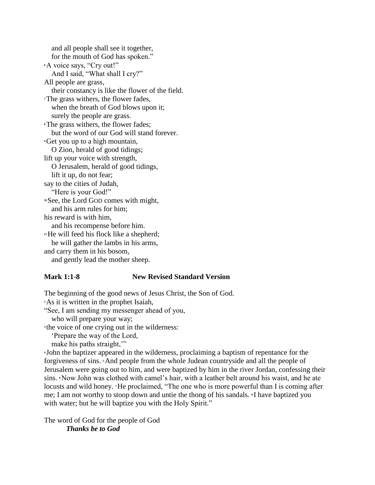and all people shall see it together, for the mouth of God has spoken." **<sup>6</sup>**A voice says, "Cry out!" And I said, "What shall I cry?" All people are grass, their constancy is like the flower of the field. **<sup>7</sup>**The grass withers, the flower fades, when the breath of God blows upon it; surely the people are grass. **<sup>8</sup>**The grass withers, the flower fades; but the word of our God will stand forever. **<sup>9</sup>**Get you up to a high mountain, O Zion, herald of good tidings; lift up your voice with strength, O Jerusalem, herald of good tidings, lift it up, do not fear; say to the cities of Judah, "Here is your God!" **<sup>10</sup>**See, the Lord GOD comes with might, and his arm rules for him; his reward is with him, and his recompense before him. **<sup>11</sup>**He will feed his flock like a shepherd; he will gather the lambs in his arms, and carry them in his bosom, and gently lead the mother sheep.

#### **Mark 1:1-8 New Revised Standard Version**

The beginning of the good news of Jesus Christ, the Son of God. **<sup>2</sup>**As it is written in the prophet Isaiah, "See, I am sending my messenger ahead of you, who will prepare your way;

**3** the voice of one crying out in the wilderness:

'Prepare the way of the Lord,

make his paths straight,"

**<sup>4</sup>** John the baptizer appeared in the wilderness, proclaiming a baptism of repentance for the forgiveness of sins. **<sup>5</sup>**And people from the whole Judean countryside and all the people of Jerusalem were going out to him, and were baptized by him in the river Jordan, confessing their sins. **Now John was clothed with camel's hair, with a leather belt around his waist, and he ate** locusts and wild honey. **<sup>7</sup>**He proclaimed, "The one who is more powerful than I is coming after me; I am not worthy to stoop down and untie the thong of his sandals. **<sup>8</sup>** I have baptized you with water; but he will baptize you with the Holy Spirit."

The word of God for the people of God *Thanks be to God*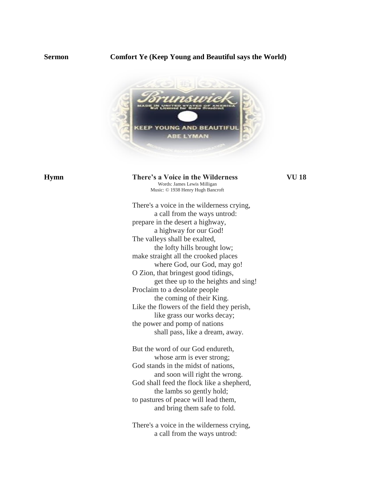#### **Sermon Comfort Ye (Keep Young and Beautiful says the World)**



#### **Hymn There's a Voice in the Wilderness VU 18** Words: James Lewis Milligan Music: © 1938 Henry Hugh Bancroft

There's a voice in the wilderness crying, a call from the ways untrod: prepare in the desert a highway, a highway for our God! The valleys shall be exalted, the lofty hills brought low; make straight all the crooked places where God, our God, may go! O Zion, that bringest good tidings, get thee up to the heights and sing! Proclaim to a desolate people the coming of their King. Like the flowers of the field they perish, like grass our works decay; the power and pomp of nations shall pass, like a dream, away.

But the word of our God endureth, whose arm is ever strong; God stands in the midst of nations, and soon will right the wrong. God shall feed the flock like a shepherd, the lambs so gently hold; to pastures of peace will lead them, and bring them safe to fold.

There's a voice in the wilderness crying, a call from the ways untrod: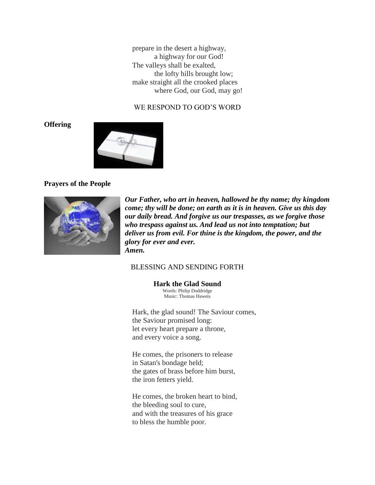prepare in the desert a highway, a highway for our God! The valleys shall be exalted, the lofty hills brought low; make straight all the crooked places where God, our God, may go!

# WE RESPOND TO GOD'S WORD

**Offering**



#### **Prayers of the People**



*Our Father, who art in heaven, hallowed be thy name; thy kingdom come; thy will be done; on earth as it is in heaven. Give us this day our daily bread. And forgive us our trespasses, as we forgive those who trespass against us. And lead us not into temptation; but deliver us from evil. For thine is the kingdom, the power, and the glory for ever and ever. Amen.*

### BLESSING AND SENDING FORTH

**Hark the Glad Sound**

Words: Philip Doddridge Music: Thomas Haweis

Hark, the glad sound! The Saviour comes, the Saviour promised long: let every heart prepare a throne, and every voice a song.

He comes, the prisoners to release in Satan's bondage held; the gates of brass before him burst, the iron fetters yield.

He comes, the broken heart to bind, the bleeding soul to cure, and with the treasures of his grace to bless the humble poor.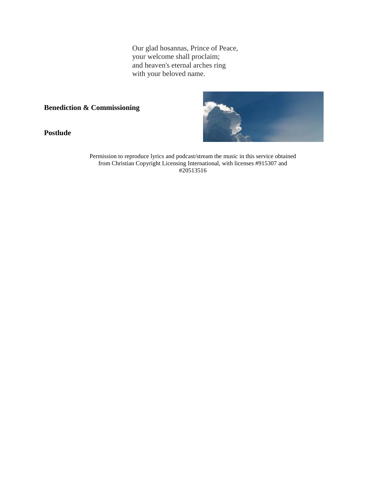Our glad hosannas, Prince of Peace, your welcome shall proclaim; and heaven's eternal arches ring with your beloved name.

**Benediction & Commissioning**

**Postlude**



Permission to reproduce lyrics and podcast/stream the music in this service obtained from Christian Copyright Licensing International, with licenses #915307 and #20513516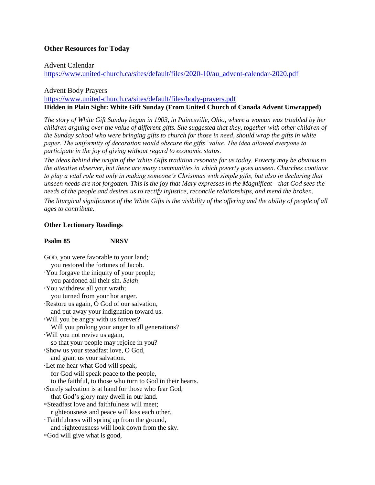### **Other Resources for Today**

#### Advent Calendar

[https://www.united-church.ca/sites/default/files/2020-10/au\\_advent-calendar-2020.pdf](https://www.united-church.ca/sites/default/files/2020-10/au_advent-calendar-2020.pdf)

#### Advent Body Prayers

<https://www.united-church.ca/sites/default/files/body-prayers.pdf> **Hidden in Plain Sight: White Gift Sunday (From United Church of Canada Advent Unwrapped)**

*The story of White Gift Sunday began in 1903, in Painesville, Ohio, where a woman was troubled by her children arguing over the value of different gifts. She suggested that they, together with other children of the Sunday school who were bringing gifts to church for those in need, should wrap the gifts in white paper. The uniformity of decoration would obscure the gifts' value. The idea allowed everyone to participate in the joy of giving without regard to economic status.*

*The ideas behind the origin of the White Gifts tradition resonate for us today. Poverty may be obvious to the attentive observer, but there are many communities in which poverty goes unseen. Churches continue to play a vital role not only in making someone's Christmas with simple gifts, but also in declaring that unseen needs are not forgotten. This is the joy that Mary expresses in the Magnificat—that God sees the needs of the people and desires us to rectify injustice, reconcile relationships, and mend the broken. The liturgical significance of the White Gifts is the visibility of the offering and the ability of people of all ages to contribute.*

#### **Other Lectionary Readings**

#### **Psalm 85 NRSV**

GOD, you were favorable to your land; you restored the fortunes of Jacob. **<sup>2</sup>**You forgave the iniquity of your people; you pardoned all their sin. *Selah* **<sup>3</sup>**You withdrew all your wrath; you turned from your hot anger. **<sup>4</sup>**Restore us again, O God of our salvation, and put away your indignation toward us. **<sup>5</sup>**Will you be angry with us forever? Will you prolong your anger to all generations? **<sup>6</sup>**Will you not revive us again, so that your people may rejoice in you? **<sup>7</sup>**Show us your steadfast love, O God, and grant us your salvation. **<sup>8</sup>**Let me hear what God will speak, for God will speak peace to the people, to the faithful, to those who turn to God in their hearts. **<sup>9</sup>**Surely salvation is at hand for those who fear God, that God's glory may dwell in our land. **<sup>10</sup>**Steadfast love and faithfulness will meet; righteousness and peace will kiss each other. **<sup>11</sup>**Faithfulness will spring up from the ground, and righteousness will look down from the sky. **12**God will give what is good,